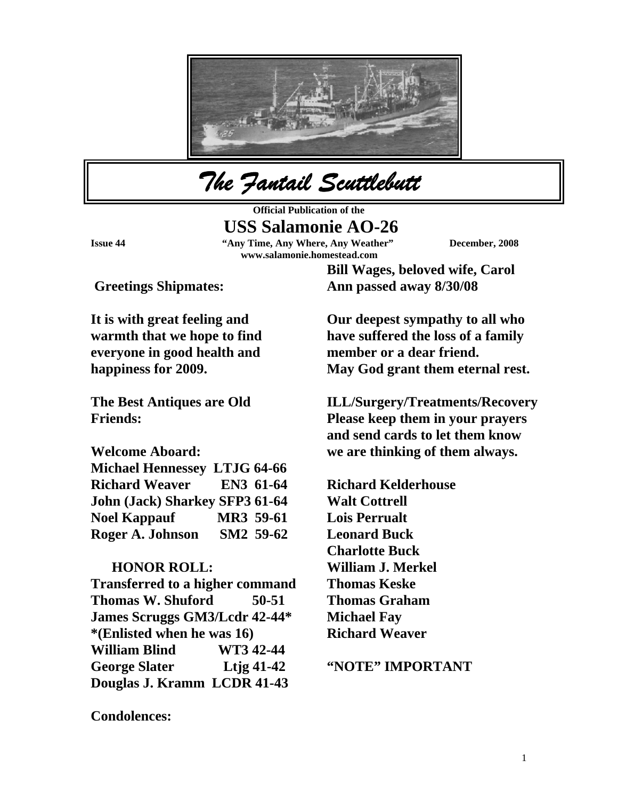

*The Fantail Scuttlebutt* 

**Official Publication of the USS Salamonie AO-26** 

**Issue 44 "Any Time, Any Where, Any Weather" December, 2008 www.salamonie.homestead.com**

 **Greetings Shipmates:** 

**It is with great feeling and warmth that we hope to find everyone in good health and happiness for 2009.** 

**The Best Antiques are Old Friends:** 

**Welcome Aboard:** 

| <b>Michael Hennessey LTJG 64-66</b>   |           |           |
|---------------------------------------|-----------|-----------|
| <b>Richard Weaver</b>                 |           | EN3 61-64 |
| <b>John (Jack) Sharkey SFP3 61-64</b> |           |           |
| <b>Noel Kappauf</b>                   | MR3 59-61 |           |
| Roger A. Johnson                      |           | SM2 59-62 |

## **HONOR ROLL:**

**Transferred to a higher command Thomas W. Shuford 50-51 James Scruggs GM3/Lcdr 42-44\* \*(Enlisted when he was 16) William Blind WT3 42-44 George Slater Ltjg 41-42 Douglas J. Kramm LCDR 41-43** 

**Bill Wages, beloved wife, Carol Ann passed away 8/30/08** 

**Our deepest sympathy to all who have suffered the loss of a family member or a dear friend. May God grant them eternal rest.** 

**ILL/Surgery/Treatments/Recovery Please keep them in your prayers and send cards to let them know we are thinking of them always.** 

**Richard Kelderhouse Walt Cottrell Lois Perrualt Leonard Buck Charlotte Buck William J. Merkel Thomas Keske Thomas Graham Michael Fay Richard Weaver** 

**"NOTE" IMPORTANT** 

**Condolences:**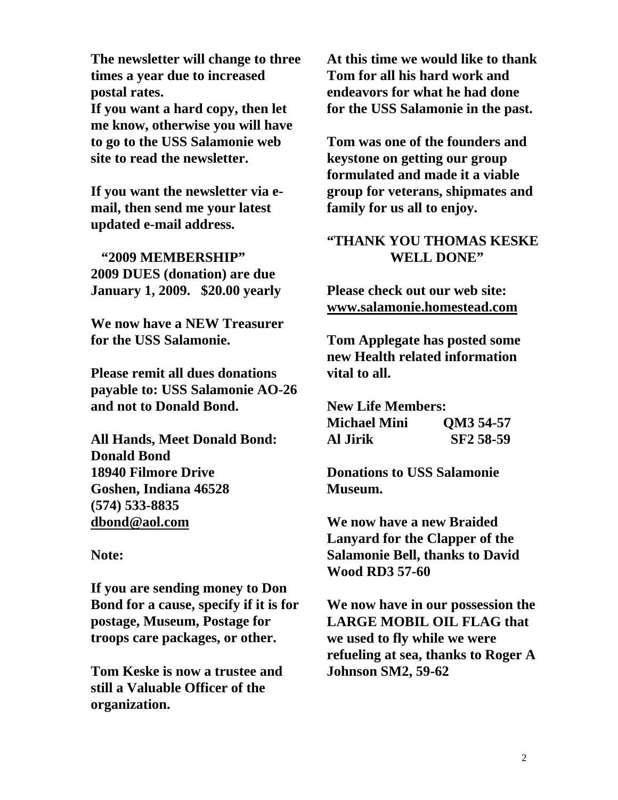**The newsletter will change to three times a year due to increased postal rates.** 

**If you want a hard copy, then let me know, otherwise you will have to go to the USS Salamonie web site to read the newsletter.** 

**If you want the newsletter via email, then send me your latest updated e-mail address.** 

 **"2009 MEMBERSHIP" 2009 DUES (donation) are due January 1, 2009. \$20.00 yearly** 

**We now have a NEW Treasurer for the USS Salamonie.** 

**Please remit all dues donations payable to: USS Salamonie AO-26 and not to Donald Bond.** 

**All Hands, Meet Donald Bond: Donald Bond 18940 Filmore Drive Goshen, Indiana 46528 (574) 533-8835 [dbond@aol.com](mailto:dbond@aol.com)**

**Note:** 

**If you are sending money to Don Bond for a cause, specify if it is for postage, Museum, Postage for troops care packages, or other.** 

**Tom Keske is now a trustee and still a Valuable Officer of the organization.** 

**At this time we would like to thank Tom for all his hard work and endeavors for what he had done for the USS Salamonie in the past.** 

**Tom was one of the founders and keystone on getting our group formulated and made it a viable group for veterans, shipmates and family for us all to enjoy.** 

## **"THANK YOU THOMAS KESKE WELL DONE"**

**Please check out our web site: [www.salamonie.homestead.com](http://www.salamonie.homestead.com/)**

**Tom Applegate has posted some new Health related information vital to all.** 

**New Life Members: Michael Mini QM3 54-57 Al Jirik SF2 58-59** 

**Donations to USS Salamonie Museum.** 

**We now have a new Braided Lanyard for the Clapper of the Salamonie Bell, thanks to David Wood RD3 57-60** 

**We now have in our possession the LARGE MOBIL OIL FLAG that we used to fly while we were refueling at sea, thanks to Roger A Johnson SM2, 59-62**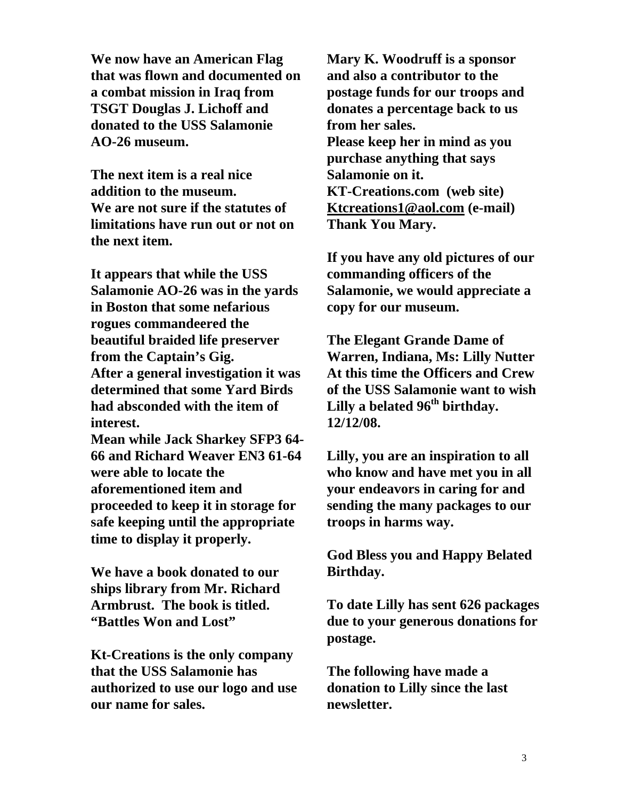**We now have an American Flag that was flown and documented on a combat mission in Iraq from TSGT Douglas J. Lichoff and donated to the USS Salamonie AO-26 museum.** 

**The next item is a real nice addition to the museum. We are not sure if the statutes of limitations have run out or not on the next item.** 

**It appears that while the USS Salamonie AO-26 was in the yards in Boston that some nefarious rogues commandeered the beautiful braided life preserver from the Captain's Gig. After a general investigation it was determined that some Yard Birds had absconded with the item of interest.** 

**Mean while Jack Sharkey SFP3 64- 66 and Richard Weaver EN3 61-64 were able to locate the aforementioned item and proceeded to keep it in storage for safe keeping until the appropriate time to display it properly.** 

**We have a book donated to our ships library from Mr. Richard Armbrust. The book is titled. "Battles Won and Lost"** 

**Kt-Creations is the only company that the USS Salamonie has authorized to use our logo and use our name for sales.** 

**Mary K. Woodruff is a sponsor and also a contributor to the postage funds for our troops and donates a percentage back to us from her sales. Please keep her in mind as you purchase anything that says Salamonie on it. KT-Creations.com (web site) [Ktcreations1@aol.com](mailto:Ktcreations1@aol.com) (e-mail) Thank You Mary.** 

**If you have any old pictures of our commanding officers of the Salamonie, we would appreciate a copy for our museum.** 

**The Elegant Grande Dame of Warren, Indiana, Ms: Lilly Nutter At this time the Officers and Crew of the USS Salamonie want to wish Lilly a belated 96th birthday. 12/12/08.** 

**Lilly, you are an inspiration to all who know and have met you in all your endeavors in caring for and sending the many packages to our troops in harms way.** 

**God Bless you and Happy Belated Birthday.** 

**To date Lilly has sent 626 packages due to your generous donations for postage.** 

**The following have made a donation to Lilly since the last newsletter.**